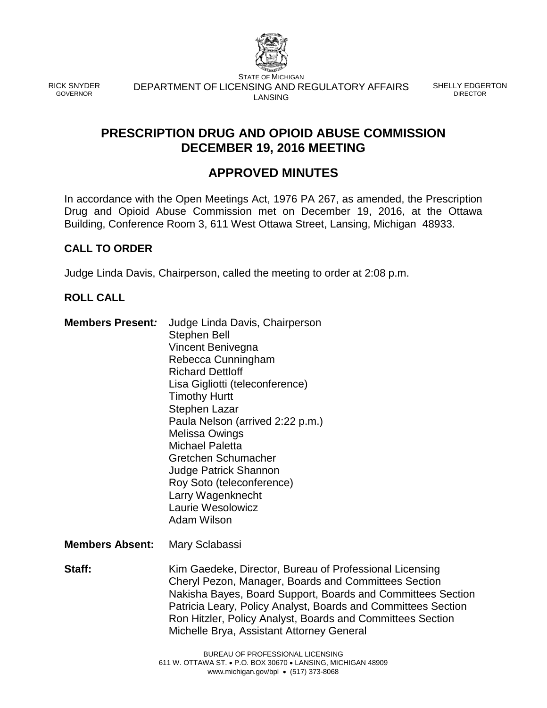

RICK SNYDER GOVERNOR

STATE OF MICHIGAN DEPARTMENT OF LICENSING AND REGULATORY AFFAIRS LANSING

SHELLY EDGERTON DIRECTOR

# **PRESCRIPTION DRUG AND OPIOID ABUSE COMMISSION DECEMBER 19, 2016 MEETING**

# **APPROVED MINUTES**

In accordance with the Open Meetings Act, 1976 PA 267, as amended, the Prescription Drug and Opioid Abuse Commission met on December 19, 2016, at the Ottawa Building, Conference Room 3, 611 West Ottawa Street, Lansing, Michigan 48933.

# **CALL TO ORDER**

Judge Linda Davis, Chairperson, called the meeting to order at 2:08 p.m.

## **ROLL CALL**

- **Members Present***:* Judge Linda Davis, Chairperson Stephen Bell Vincent Benivegna Rebecca Cunningham Richard Dettloff Lisa Gigliotti (teleconference) Timothy Hurtt Stephen Lazar Paula Nelson (arrived 2:22 p.m.) Melissa Owings Michael Paletta Gretchen Schumacher Judge Patrick Shannon Roy Soto (teleconference) Larry Wagenknecht Laurie Wesolowicz Adam Wilson
- **Members Absent:** Mary Sclabassi

**Staff:** Kim Gaedeke, Director, Bureau of Professional Licensing Cheryl Pezon, Manager, Boards and Committees Section Nakisha Bayes, Board Support, Boards and Committees Section Patricia Leary, Policy Analyst, Boards and Committees Section Ron Hitzler, Policy Analyst, Boards and Committees Section Michelle Brya, Assistant Attorney General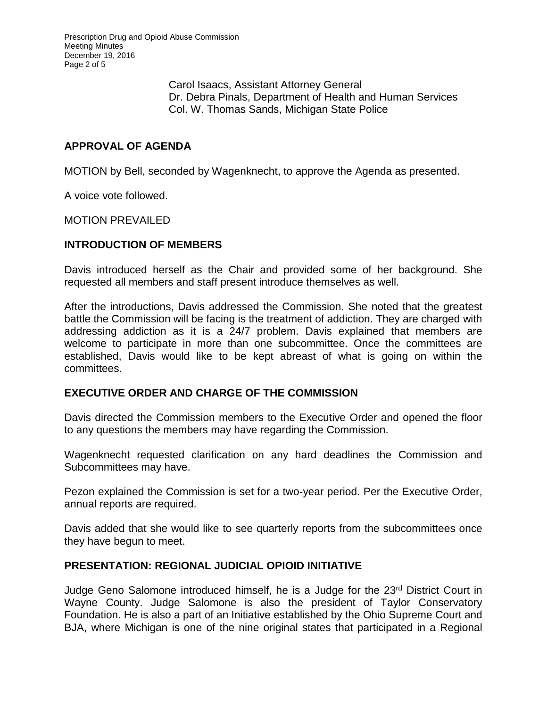Prescription Drug and Opioid Abuse Commission Meeting Minutes December 19, 2016 Page 2 of 5

> Carol Isaacs, Assistant Attorney General Dr. Debra Pinals, Department of Health and Human Services Col. W. Thomas Sands, Michigan State Police

#### **APPROVAL OF AGENDA**

MOTION by Bell, seconded by Wagenknecht, to approve the Agenda as presented.

A voice vote followed.

MOTION PREVAILED

#### **INTRODUCTION OF MEMBERS**

Davis introduced herself as the Chair and provided some of her background. She requested all members and staff present introduce themselves as well.

After the introductions, Davis addressed the Commission. She noted that the greatest battle the Commission will be facing is the treatment of addiction. They are charged with addressing addiction as it is a 24/7 problem. Davis explained that members are welcome to participate in more than one subcommittee. Once the committees are established, Davis would like to be kept abreast of what is going on within the committees.

#### **EXECUTIVE ORDER AND CHARGE OF THE COMMISSION**

Davis directed the Commission members to the Executive Order and opened the floor to any questions the members may have regarding the Commission.

Wagenknecht requested clarification on any hard deadlines the Commission and Subcommittees may have.

Pezon explained the Commission is set for a two-year period. Per the Executive Order, annual reports are required.

Davis added that she would like to see quarterly reports from the subcommittees once they have begun to meet.

#### **PRESENTATION: REGIONAL JUDICIAL OPIOID INITIATIVE**

Judge Geno Salomone introduced himself, he is a Judge for the 23rd District Court in Wayne County. Judge Salomone is also the president of Taylor Conservatory Foundation. He is also a part of an Initiative established by the Ohio Supreme Court and BJA, where Michigan is one of the nine original states that participated in a Regional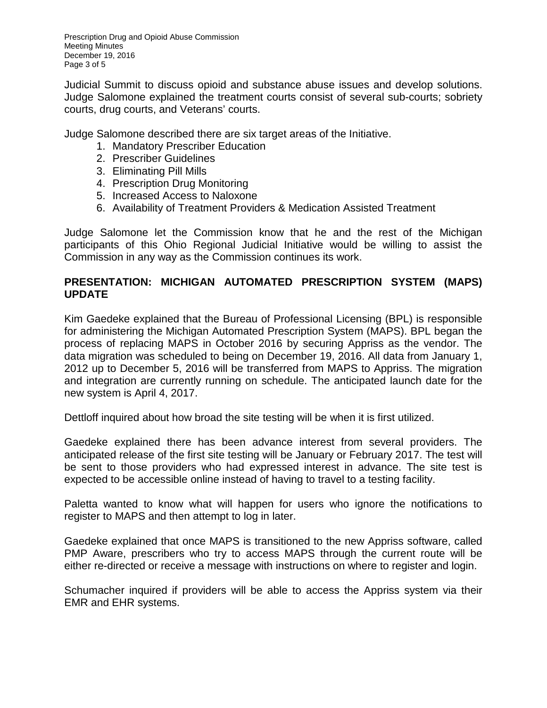Prescription Drug and Opioid Abuse Commission Meeting Minutes December 19, 2016 Page 3 of 5

Judicial Summit to discuss opioid and substance abuse issues and develop solutions. Judge Salomone explained the treatment courts consist of several sub-courts; sobriety courts, drug courts, and Veterans' courts.

Judge Salomone described there are six target areas of the Initiative.

- 1. Mandatory Prescriber Education
- 2. Prescriber Guidelines
- 3. Eliminating Pill Mills
- 4. Prescription Drug Monitoring
- 5. Increased Access to Naloxone
- 6. Availability of Treatment Providers & Medication Assisted Treatment

Judge Salomone let the Commission know that he and the rest of the Michigan participants of this Ohio Regional Judicial Initiative would be willing to assist the Commission in any way as the Commission continues its work.

## **PRESENTATION: MICHIGAN AUTOMATED PRESCRIPTION SYSTEM (MAPS) UPDATE**

Kim Gaedeke explained that the Bureau of Professional Licensing (BPL) is responsible for administering the Michigan Automated Prescription System (MAPS). BPL began the process of replacing MAPS in October 2016 by securing Appriss as the vendor. The data migration was scheduled to being on December 19, 2016. All data from January 1, 2012 up to December 5, 2016 will be transferred from MAPS to Appriss. The migration and integration are currently running on schedule. The anticipated launch date for the new system is April 4, 2017.

Dettloff inquired about how broad the site testing will be when it is first utilized.

Gaedeke explained there has been advance interest from several providers. The anticipated release of the first site testing will be January or February 2017. The test will be sent to those providers who had expressed interest in advance. The site test is expected to be accessible online instead of having to travel to a testing facility.

Paletta wanted to know what will happen for users who ignore the notifications to register to MAPS and then attempt to log in later.

Gaedeke explained that once MAPS is transitioned to the new Appriss software, called PMP Aware, prescribers who try to access MAPS through the current route will be either re-directed or receive a message with instructions on where to register and login.

Schumacher inquired if providers will be able to access the Appriss system via their EMR and EHR systems.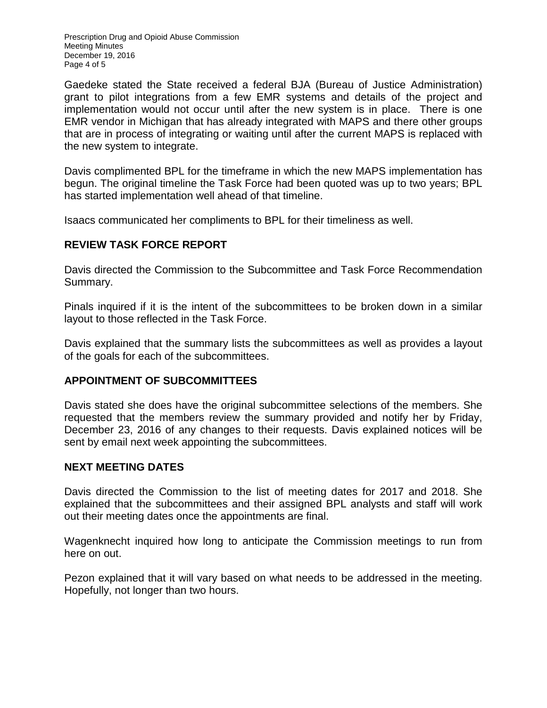Prescription Drug and Opioid Abuse Commission Meeting Minutes December 19, 2016 Page 4 of 5

Gaedeke stated the State received a federal BJA (Bureau of Justice Administration) grant to pilot integrations from a few EMR systems and details of the project and implementation would not occur until after the new system is in place. There is one EMR vendor in Michigan that has already integrated with MAPS and there other groups that are in process of integrating or waiting until after the current MAPS is replaced with the new system to integrate.

Davis complimented BPL for the timeframe in which the new MAPS implementation has begun. The original timeline the Task Force had been quoted was up to two years; BPL has started implementation well ahead of that timeline.

Isaacs communicated her compliments to BPL for their timeliness as well.

## **REVIEW TASK FORCE REPORT**

Davis directed the Commission to the Subcommittee and Task Force Recommendation Summary.

Pinals inquired if it is the intent of the subcommittees to be broken down in a similar layout to those reflected in the Task Force.

Davis explained that the summary lists the subcommittees as well as provides a layout of the goals for each of the subcommittees.

#### **APPOINTMENT OF SUBCOMMITTEES**

Davis stated she does have the original subcommittee selections of the members. She requested that the members review the summary provided and notify her by Friday, December 23, 2016 of any changes to their requests. Davis explained notices will be sent by email next week appointing the subcommittees.

#### **NEXT MEETING DATES**

Davis directed the Commission to the list of meeting dates for 2017 and 2018. She explained that the subcommittees and their assigned BPL analysts and staff will work out their meeting dates once the appointments are final.

Wagenknecht inquired how long to anticipate the Commission meetings to run from here on out.

Pezon explained that it will vary based on what needs to be addressed in the meeting. Hopefully, not longer than two hours.